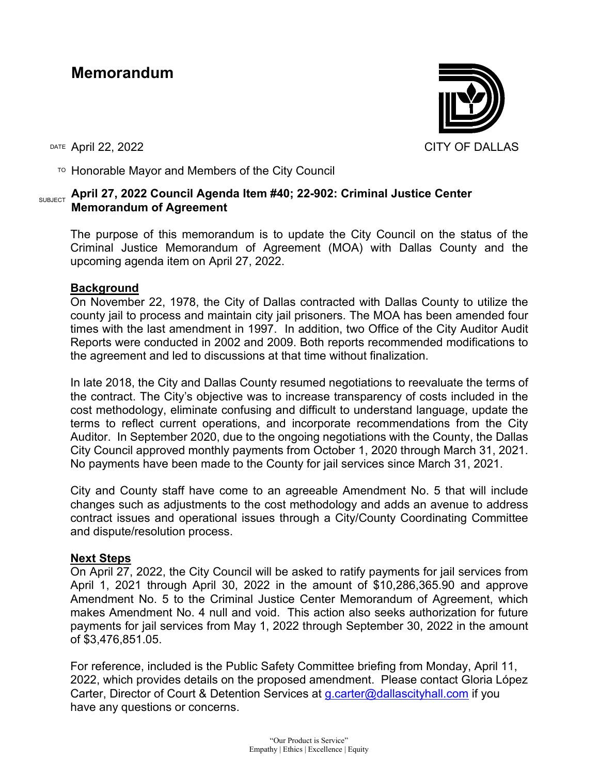## **Memorandum**



 $T$ <sup>O</sup> Honorable Mayor and Members of the City Council

## SUBJECT **April 27, 2022 Council Agenda Item #40; 22-902: Criminal Justice Center Memorandum of Agreement**

The purpose of this memorandum is to update the City Council on the status of the Criminal Justice Memorandum of Agreement (MOA) with Dallas County and the upcoming agenda item on April 27, 2022.

## **Background**

On November 22, 1978, the City of Dallas contracted with Dallas County to utilize the county jail to process and maintain city jail prisoners. The MOA has been amended four times with the last amendment in 1997. In addition, two Office of the City Auditor Audit Reports were conducted in 2002 and 2009. Both reports recommended modifications to the agreement and led to discussions at that time without finalization.

In late 2018, the City and Dallas County resumed negotiations to reevaluate the terms of the contract. The City's objective was to increase transparency of costs included in the cost methodology, eliminate confusing and difficult to understand language, update the terms to reflect current operations, and incorporate recommendations from the City Auditor. In September 2020, due to the ongoing negotiations with the County, the Dallas City Council approved monthly payments from October 1, 2020 through March 31, 2021. No payments have been made to the County for jail services since March 31, 2021.

City and County staff have come to an agreeable Amendment No. 5 that will include changes such as adjustments to the cost methodology and adds an avenue to address contract issues and operational issues through a City/County Coordinating Committee and dispute/resolution process.

## **Next Steps**

On April 27, 2022, the City Council will be asked to ratify payments for jail services from April 1, 2021 through April 30, 2022 in the amount of \$10,286,365.90 and approve Amendment No. 5 to the Criminal Justice Center Memorandum of Agreement, which makes Amendment No. 4 null and void. This action also seeks authorization for future payments for jail services from May 1, 2022 through September 30, 2022 in the amount of \$3,476,851.05.

For reference, included is the Public Safety Committee briefing from Monday, April 11, 2022, which provides details on the proposed amendment. Please contact Gloria López Carter, Director of Court & Detention Services at [g.carter@dallascityhall.com](mailto:g.carter@dallascityhall.com) if you have any questions or concerns.